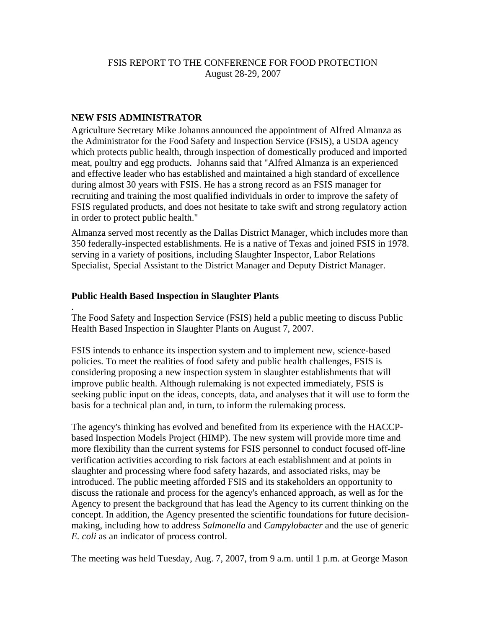# FSIS REPORT TO THE CONFERENCE FOR FOOD PROTECTION August 28-29, 2007

## **NEW FSIS ADMINISTRATOR**

.

Agriculture Secretary Mike Johanns announced the appointment of Alfred Almanza as the Administrator for the Food Safety and Inspection Service (FSIS), a USDA agency which protects public health, through inspection of domestically produced and imported meat, poultry and egg products. Johanns said that "Alfred Almanza is an experienced and effective leader who has established and maintained a high standard of excellence during almost 30 years with FSIS. He has a strong record as an FSIS manager for recruiting and training the most qualified individuals in order to improve the safety of FSIS regulated products, and does not hesitate to take swift and strong regulatory action in order to protect public health."

Almanza served most recently as the Dallas District Manager, which includes more than 350 federally-inspected establishments. He is a native of Texas and joined FSIS in 1978. serving in a variety of positions, including Slaughter Inspector, Labor Relations Specialist, Special Assistant to the District Manager and Deputy District Manager.

# **Public Health Based Inspection in Slaughter Plants**

The Food Safety and Inspection Service (FSIS) held a public meeting to discuss Public Health Based Inspection in Slaughter Plants on August 7, 2007.

FSIS intends to enhance its inspection system and to implement new, science-based policies. To meet the realities of food safety and public health challenges, FSIS is considering proposing a new inspection system in slaughter establishments that will improve public health. Although rulemaking is not expected immediately, FSIS is seeking public input on the ideas, concepts, data, and analyses that it will use to form the basis for a technical plan and, in turn, to inform the rulemaking process.

The agency's thinking has evolved and benefited from its experience with the HACCPbased Inspection Models Project (HIMP). The new system will provide more time and more flexibility than the current systems for FSIS personnel to conduct focused off-line verification activities according to risk factors at each establishment and at points in slaughter and processing where food safety hazards, and associated risks, may be introduced. The public meeting afforded FSIS and its stakeholders an opportunity to discuss the rationale and process for the agency's enhanced approach, as well as for the Agency to present the background that has lead the Agency to its current thinking on the concept. In addition, the Agency presented the scientific foundations for future decisionmaking, including how to address *Salmonella* and *Campylobacter* and the use of generic *E. coli* as an indicator of process control.

The meeting was held Tuesday, Aug. 7, 2007, from 9 a.m. until 1 p.m. at George Mason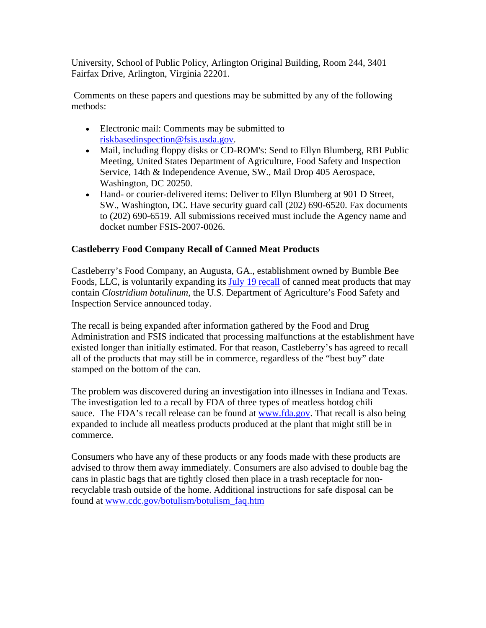University, School of Public Policy, Arlington Original Building, Room 244, 3401 Fairfax Drive, Arlington, Virginia 22201.

 Comments on these papers and questions may be submitted by any of the following methods:

- Electronic mail: Comments may be submitted to [riskbasedinspection@fsis.usda.gov](http://www.fsis.usda.gov/contact_us/Email_Form/index.asp?rcpt=RiskBasedInspection@fsis.usda.gov).
- Mail, including floppy disks or CD-ROM's: Send to Ellyn Blumberg, RBI Public Meeting, United States Department of Agriculture, Food Safety and Inspection Service, 14th & Independence Avenue, SW., Mail Drop 405 Aerospace, Washington, DC 20250.
- Hand- or courier-delivered items: Deliver to Ellyn Blumberg at 901 D Street, SW., Washington, DC. Have security guard call (202) 690-6520. Fax documents to (202) 690-6519. All submissions received must include the Agency name and docket number FSIS-2007-0026.

# **Castleberry Food Company Recall of Canned Meat Products**

Castleberry's Food Company, an Augusta, GA., establishment owned by Bumble Bee Foods, LLC, is voluntarily expanding its [July 19 recall](http://www.fsis.usda.gov/News_&_Events/Recall_033_2007_release/index.asp) of canned meat products that may contain *Clostridium botulinum*, the U.S. Department of Agriculture's Food Safety and Inspection Service announced today.

The recall is being expanded after information gathered by the Food and Drug Administration and FSIS indicated that processing malfunctions at the establishment have existed longer than initially estimated. For that reason, Castleberry's has agreed to recall all of the products that may still be in commerce, regardless of the "best buy" date stamped on the bottom of the can.

The problem was discovered during an investigation into illnesses in Indiana and Texas. The investigation led to a recall by FDA of three types of meatless hotdog chili sauce. The FDA's recall release can be found at [www.fda.gov.](http://www.fda.gov/) That recall is also being expanded to include all meatless products produced at the plant that might still be in commerce.

Consumers who have any of these products or any foods made with these products are advised to throw them away immediately. Consumers are also advised to double bag the cans in plastic bags that are tightly closed then place in a trash receptacle for nonrecyclable trash outside of the home. Additional instructions for safe disposal can be found at [www.cdc.gov/botulism/botulism\\_faq.htm](http://www.cdc.gov/botulism/botulism_faq.htm)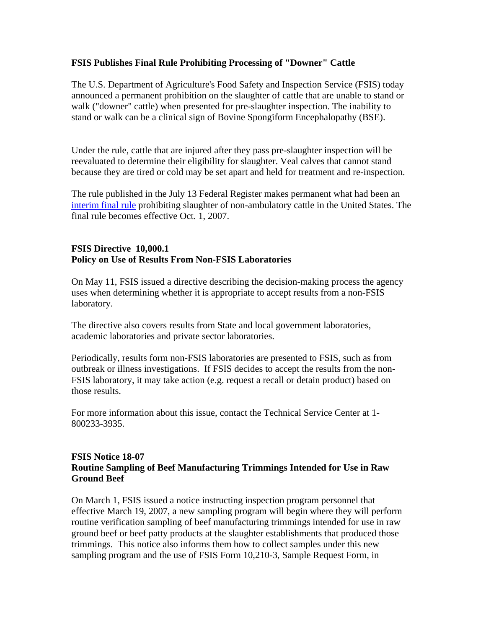## **FSIS Publishes Final Rule Prohibiting Processing of "Downer" Cattle**

The U.S. Department of Agriculture's Food Safety and Inspection Service (FSIS) today announced a permanent prohibition on the slaughter of cattle that are unable to stand or walk ("downer" cattle) when presented for pre-slaughter inspection. The inability to stand or walk can be a clinical sign of Bovine Spongiform Encephalopathy (BSE).

Under the rule, cattle that are injured after they pass pre-slaughter inspection will be reevaluated to determine their eligibility for slaughter. Veal calves that cannot stand because they are tired or cold may be set apart and held for treatment and re-inspection.

The rule published in the July 13 Federal Register makes permanent what had been an [interim final rule](http://www.fsis.usda.gov/Frame/FrameRedirect.asp?main=http://www.fsis.usda.gov/OPPDE/rdad/FRPubs/03-025IF.htm) prohibiting slaughter of non-ambulatory cattle in the United States. The final rule becomes effective Oct. 1, 2007.

#### **FSIS Directive 10,000.1 Policy on Use of Results From Non-FSIS Laboratories**

On May 11, FSIS issued a directive describing the decision-making process the agency uses when determining whether it is appropriate to accept results from a non-FSIS laboratory.

The directive also covers results from State and local government laboratories, academic laboratories and private sector laboratories.

Periodically, results form non-FSIS laboratories are presented to FSIS, such as from outbreak or illness investigations. If FSIS decides to accept the results from the non-FSIS laboratory, it may take action (e.g. request a recall or detain product) based on those results.

For more information about this issue, contact the Technical Service Center at 1- 800233-3935.

#### **FSIS Notice 18-07 Routine Sampling of Beef Manufacturing Trimmings Intended for Use in Raw Ground Beef**

On March 1, FSIS issued a notice instructing inspection program personnel that effective March 19, 2007, a new sampling program will begin where they will perform routine verification sampling of beef manufacturing trimmings intended for use in raw ground beef or beef patty products at the slaughter establishments that produced those trimmings. This notice also informs them how to collect samples under this new sampling program and the use of FSIS Form 10,210-3, Sample Request Form, in